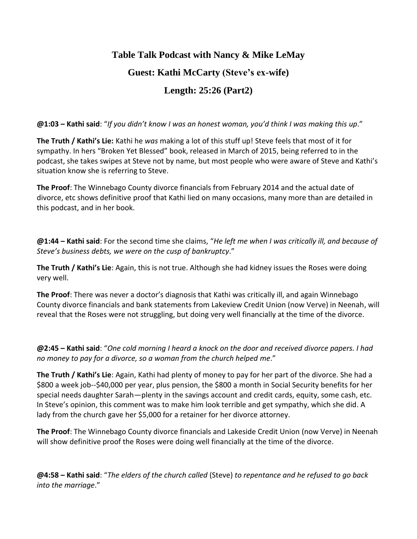## **Table Talk Podcast with Nancy & Mike LeMay Guest: Kathi McCarty (Steve's ex-wife) Length: 25:26 (Part2)**

**@1:03 – Kathi said**: "*If you didn't know I was an honest woman, you'd think I was making this up*."

**The Truth / Kathi's Lie:** Kathi he *was* making a lot of this stuff up! Steve feels that most of it for sympathy. In hers "Broken Yet Blessed" book, released in March of 2015, being referred to in the podcast, she takes swipes at Steve not by name, but most people who were aware of Steve and Kathi's situation know she is referring to Steve.

**The Proof**: The Winnebago County divorce financials from February 2014 and the actual date of divorce, etc shows definitive proof that Kathi lied on many occasions, many more than are detailed in this podcast, and in her book.

**@1:44 – Kathi said**: For the second time she claims, "*He left me when I was critically ill, and because of Steve's business debts, we were on the cusp of bankruptcy*."

**The Truth / Kathi's Lie**: Again, this is not true. Although she had kidney issues the Roses were doing very well.

**The Proof**: There was never a doctor's diagnosis that Kathi was critically ill, and again Winnebago County divorce financials and bank statements from Lakeview Credit Union (now Verve) in Neenah, will reveal that the Roses were not struggling, but doing very well financially at the time of the divorce.

**@2:45 – Kathi said**: "*One cold morning I heard a knock on the door and received divorce papers. I had no money to pay for a divorce, so a woman from the church helped me*."

**The Truth / Kathi's Lie**: Again, Kathi had plenty of money to pay for her part of the divorce. She had a \$800 a week job--\$40,000 per year, plus pension, the \$800 a month in Social Security benefits for her special needs daughter Sarah—plenty in the savings account and credit cards, equity, some cash, etc. In Steve's opinion, this comment was to make him look terrible and get sympathy, which she did. A lady from the church gave her \$5,000 for a retainer for her divorce attorney.

**The Proof**: The Winnebago County divorce financials and Lakeside Credit Union (now Verve) in Neenah will show definitive proof the Roses were doing well financially at the time of the divorce.

**@4:58 – Kathi said**: "*The elders of the church called* (Steve) *to repentance and he refused to go back into the marriage*."